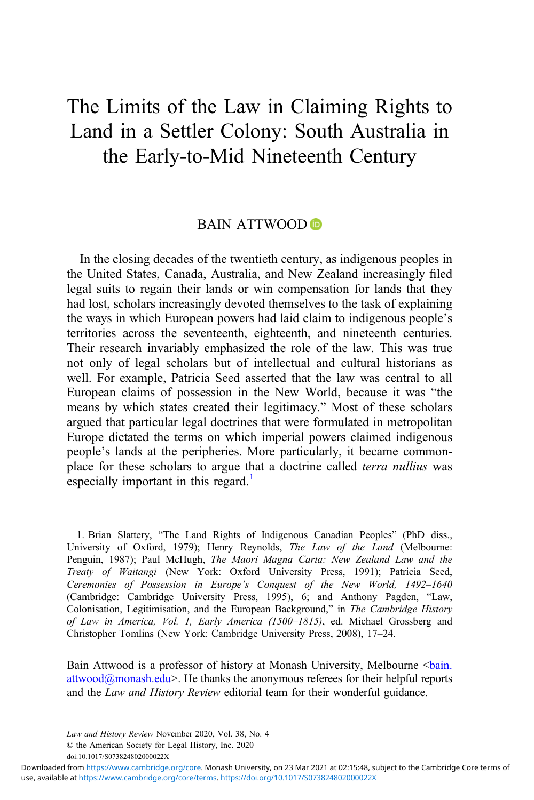# The Limits of the Law in Claiming Rights to Land in a Settler Colony: South Australia in the Early-to-Mid Nineteenth Century

### BAIN ATTWOOD **D**

In the closing decades of the twentieth century, as indigenous peoples in the United States, Canada, Australia, and New Zealand increasingly filed legal suits to regain their lands or win compensation for lands that they had lost, scholars increasingly devoted themselves to the task of explaining the ways in which European powers had laid claim to indigenous people's territories across the seventeenth, eighteenth, and nineteenth centuries. Their research invariably emphasized the role of the law. This was true not only of legal scholars but of intellectual and cultural historians as well. For example, Patricia Seed asserted that the law was central to all European claims of possession in the New World, because it was "the means by which states created their legitimacy." Most of these scholars argued that particular legal doctrines that were formulated in metropolitan Europe dictated the terms on which imperial powers claimed indigenous people's lands at the peripheries. More particularly, it became commonplace for these scholars to argue that a doctrine called *terra nullius* was especially important in this regard.<sup>1</sup>

1. Brian Slattery, "The Land Rights of Indigenous Canadian Peoples" (PhD diss., University of Oxford, 1979); Henry Reynolds, The Law of the Land (Melbourne: Penguin, 1987); Paul McHugh, The Maori Magna Carta: New Zealand Law and the Treaty of Waitangi (New York: Oxford University Press, 1991); Patricia Seed, Ceremonies of Possession in Europe's Conquest of the New World, 1492–1640 (Cambridge: Cambridge University Press, 1995), 6; and Anthony Pagden, "Law, Colonisation, Legitimisation, and the European Background," in The Cambridge History of Law in America, Vol. 1, Early America (1500–1815), ed. Michael Grossberg and Christopher Tomlins (New York: Cambridge University Press, 2008), 17–24.

Bain Attwood is a professor of history at Monash University, Melbourne <br/>bain. attwood $@$ monash.edu>. He thanks the anonymous referees for their helpful reports and the Law and History Review editorial team for their wonderful guidance.

Law and History Review November 2020, Vol. 38, No. 4

<sup>©</sup> the American Society for Legal History, Inc. 2020

doi:10.1017/S073824802000022X

use, available at https://www.cambridge.org/core/terms. https://doi.org/10.1017/S073824802000022X Downloaded from https://www.cambridge.org/core. Monash University, on 23 Mar 2021 at 02:15:48, subject to the Cambridge Core terms of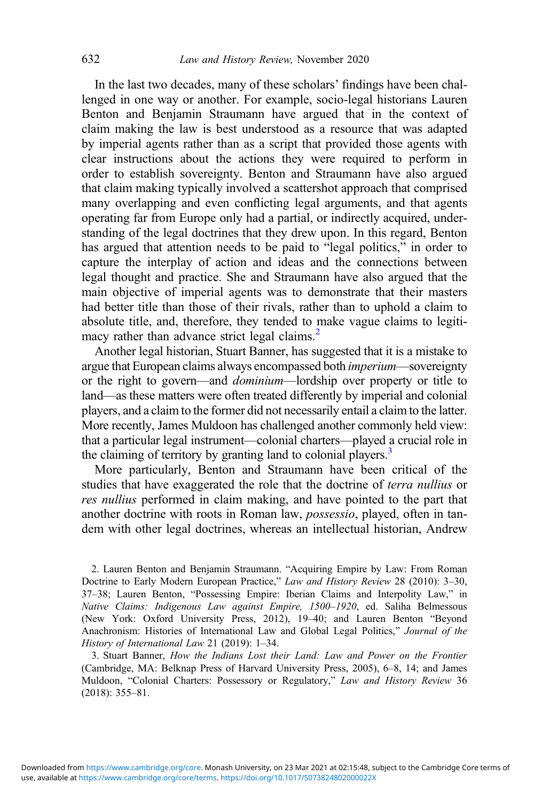In the last two decades, many of these scholars' findings have been challenged in one way or another. For example, socio-legal historians Lauren Benton and Benjamin Straumann have argued that in the context of claim making the law is best understood as a resource that was adapted by imperial agents rather than as a script that provided those agents with clear instructions about the actions they were required to perform in order to establish sovereignty. Benton and Straumann have also argued that claim making typically involved a scattershot approach that comprised many overlapping and even conflicting legal arguments, and that agents operating far from Europe only had a partial, or indirectly acquired, understanding of the legal doctrines that they drew upon. In this regard, Benton has argued that attention needs to be paid to "legal politics," in order to capture the interplay of action and ideas and the connections between legal thought and practice. She and Straumann have also argued that the main objective of imperial agents was to demonstrate that their masters had better title than those of their rivals, rather than to uphold a claim to absolute title, and, therefore, they tended to make vague claims to legitimacy rather than advance strict legal claims.<sup>2</sup>

Another legal historian, Stuart Banner, has suggested that it is a mistake to argue that European claims always encompassed both imperium—sovereignty or the right to govern—and dominium—lordship over property or title to land—as these matters were often treated differently by imperial and colonial players, and a claim to the former did not necessarily entail a claim to the latter. More recently, James Muldoon has challenged another commonly held view: that a particular legal instrument—colonial charters—played a crucial role in the claiming of territory by granting land to colonial players.<sup>3</sup>

More particularly, Benton and Straumann have been critical of the studies that have exaggerated the role that the doctrine of terra nullius or res nullius performed in claim making, and have pointed to the part that another doctrine with roots in Roman law, possessio, played, often in tandem with other legal doctrines, whereas an intellectual historian, Andrew

3. Stuart Banner, How the Indians Lost their Land: Law and Power on the Frontier (Cambridge, MA: Belknap Press of Harvard University Press, 2005), 6–8, 14; and James Muldoon, "Colonial Charters: Possessory or Regulatory," Law and History Review 36 (2018): 355–81.

<sup>2.</sup> Lauren Benton and Benjamin Straumann. "Acquiring Empire by Law: From Roman Doctrine to Early Modern European Practice," Law and History Review 28 (2010): 3–30, 37–38; Lauren Benton, "Possessing Empire: Iberian Claims and Interpolity Law," in Native Claims: Indigenous Law against Empire, 1500–1920, ed. Saliha Belmessous (New York: Oxford University Press, 2012), 19–40; and Lauren Benton "Beyond Anachronism: Histories of International Law and Global Legal Politics," Journal of the History of International Law 21 (2019): 1–34.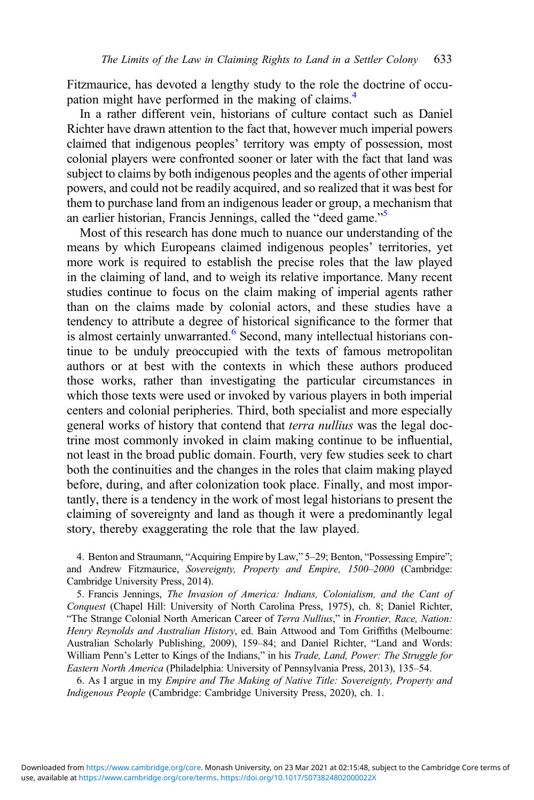Fitzmaurice, has devoted a lengthy study to the role the doctrine of occupation might have performed in the making of claims.4

In a rather different vein, historians of culture contact such as Daniel Richter have drawn attention to the fact that, however much imperial powers claimed that indigenous peoples' territory was empty of possession, most colonial players were confronted sooner or later with the fact that land was subject to claims by both indigenous peoples and the agents of other imperial powers, and could not be readily acquired, and so realized that it was best for them to purchase land from an indigenous leader or group, a mechanism that an earlier historian, Francis Jennings, called the "deed game."<sup>5</sup>

Most of this research has done much to nuance our understanding of the means by which Europeans claimed indigenous peoples' territories, yet more work is required to establish the precise roles that the law played in the claiming of land, and to weigh its relative importance. Many recent studies continue to focus on the claim making of imperial agents rather than on the claims made by colonial actors, and these studies have a tendency to attribute a degree of historical significance to the former that is almost certainly unwarranted.<sup>6</sup> Second, many intellectual historians continue to be unduly preoccupied with the texts of famous metropolitan authors or at best with the contexts in which these authors produced those works, rather than investigating the particular circumstances in which those texts were used or invoked by various players in both imperial centers and colonial peripheries. Third, both specialist and more especially general works of history that contend that terra nullius was the legal doctrine most commonly invoked in claim making continue to be influential, not least in the broad public domain. Fourth, very few studies seek to chart both the continuities and the changes in the roles that claim making played before, during, and after colonization took place. Finally, and most importantly, there is a tendency in the work of most legal historians to present the claiming of sovereignty and land as though it were a predominantly legal story, thereby exaggerating the role that the law played.

4. Benton and Straumann, "Acquiring Empire by Law," 5–29; Benton, "Possessing Empire"; and Andrew Fitzmaurice, Sovereignty, Property and Empire, 1500–2000 (Cambridge: Cambridge University Press, 2014).

5. Francis Jennings, The Invasion of America: Indians, Colonialism, and the Cant of Conquest (Chapel Hill: University of North Carolina Press, 1975), ch. 8; Daniel Richter, "The Strange Colonial North American Career of Terra Nullius," in Frontier, Race, Nation: Henry Reynolds and Australian History, ed. Bain Attwood and Tom Griffiths (Melbourne: Australian Scholarly Publishing, 2009), 159–84; and Daniel Richter, "Land and Words: William Penn's Letter to Kings of the Indians," in his Trade, Land, Power: The Struggle for Eastern North America (Philadelphia: University of Pennsylvania Press, 2013), 135–54.

6. As I argue in my Empire and The Making of Native Title: Sovereignty, Property and Indigenous People (Cambridge: Cambridge University Press, 2020), ch. 1.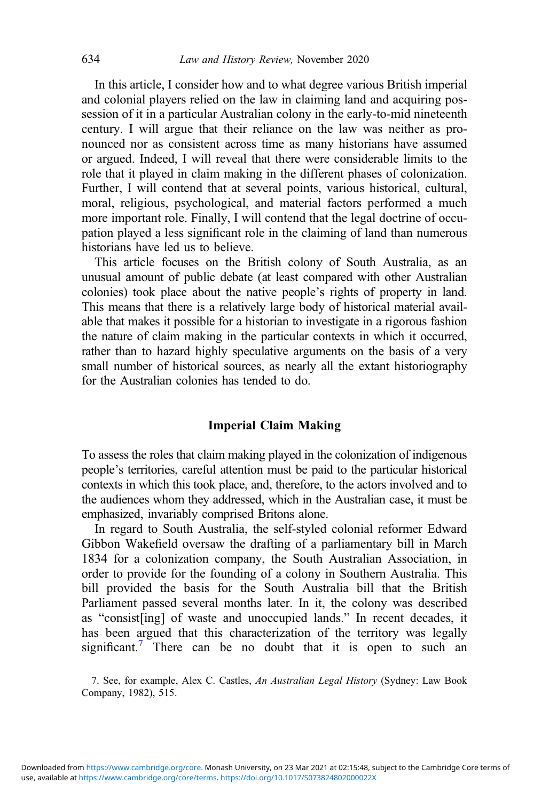In this article, I consider how and to what degree various British imperial and colonial players relied on the law in claiming land and acquiring possession of it in a particular Australian colony in the early-to-mid nineteenth century. I will argue that their reliance on the law was neither as pronounced nor as consistent across time as many historians have assumed or argued. Indeed, I will reveal that there were considerable limits to the role that it played in claim making in the different phases of colonization. Further, I will contend that at several points, various historical, cultural, moral, religious, psychological, and material factors performed a much more important role. Finally, I will contend that the legal doctrine of occupation played a less significant role in the claiming of land than numerous historians have led us to believe.

This article focuses on the British colony of South Australia, as an unusual amount of public debate (at least compared with other Australian colonies) took place about the native people's rights of property in land. This means that there is a relatively large body of historical material available that makes it possible for a historian to investigate in a rigorous fashion the nature of claim making in the particular contexts in which it occurred, rather than to hazard highly speculative arguments on the basis of a very small number of historical sources, as nearly all the extant historiography for the Australian colonies has tended to do.

# Imperial Claim Making

To assess the roles that claim making played in the colonization of indigenous people's territories, careful attention must be paid to the particular historical contexts in which this took place, and, therefore, to the actors involved and to the audiences whom they addressed, which in the Australian case, it must be emphasized, invariably comprised Britons alone.

In regard to South Australia, the self-styled colonial reformer Edward Gibbon Wakefield oversaw the drafting of a parliamentary bill in March 1834 for a colonization company, the South Australian Association, in order to provide for the founding of a colony in Southern Australia. This bill provided the basis for the South Australia bill that the British Parliament passed several months later. In it, the colony was described as "consist[ing] of waste and unoccupied lands." In recent decades, it has been argued that this characterization of the territory was legally significant.<sup>7</sup> There can be no doubt that it is open to such an

7. See, for example, Alex C. Castles, An Australian Legal History (Sydney: Law Book Company, 1982), 515.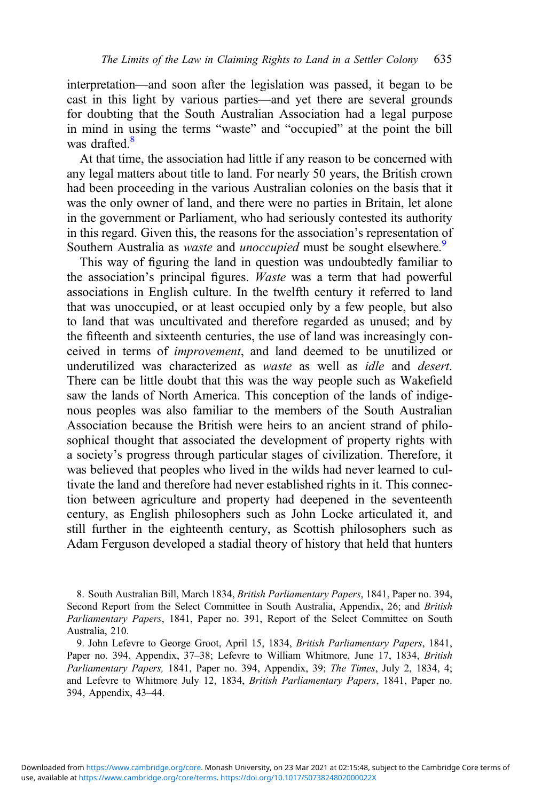interpretation—and soon after the legislation was passed, it began to be cast in this light by various parties—and yet there are several grounds for doubting that the South Australian Association had a legal purpose in mind in using the terms "waste" and "occupied" at the point the bill was drafted.<sup>8</sup>

At that time, the association had little if any reason to be concerned with any legal matters about title to land. For nearly 50 years, the British crown had been proceeding in the various Australian colonies on the basis that it was the only owner of land, and there were no parties in Britain, let alone in the government or Parliament, who had seriously contested its authority in this regard. Given this, the reasons for the association's representation of Southern Australia as *waste* and *unoccupied* must be sought elsewhere.<sup>9</sup>

This way of figuring the land in question was undoubtedly familiar to the association's principal figures. Waste was a term that had powerful associations in English culture. In the twelfth century it referred to land that was unoccupied, or at least occupied only by a few people, but also to land that was uncultivated and therefore regarded as unused; and by the fifteenth and sixteenth centuries, the use of land was increasingly conceived in terms of improvement, and land deemed to be unutilized or underutilized was characterized as waste as well as *idle* and *desert*. There can be little doubt that this was the way people such as Wakefield saw the lands of North America. This conception of the lands of indigenous peoples was also familiar to the members of the South Australian Association because the British were heirs to an ancient strand of philosophical thought that associated the development of property rights with a society's progress through particular stages of civilization. Therefore, it was believed that peoples who lived in the wilds had never learned to cultivate the land and therefore had never established rights in it. This connection between agriculture and property had deepened in the seventeenth century, as English philosophers such as John Locke articulated it, and still further in the eighteenth century, as Scottish philosophers such as Adam Ferguson developed a stadial theory of history that held that hunters

<sup>8.</sup> South Australian Bill, March 1834, British Parliamentary Papers, 1841, Paper no. 394, Second Report from the Select Committee in South Australia, Appendix, 26; and British Parliamentary Papers, 1841, Paper no. 391, Report of the Select Committee on South Australia, 210.

<sup>9.</sup> John Lefevre to George Groot, April 15, 1834, British Parliamentary Papers, 1841, Paper no. 394, Appendix, 37-38; Lefevre to William Whitmore, June 17, 1834, British Parliamentary Papers, 1841, Paper no. 394, Appendix, 39; The Times, July 2, 1834, 4; and Lefevre to Whitmore July 12, 1834, British Parliamentary Papers, 1841, Paper no. 394, Appendix, 43–44.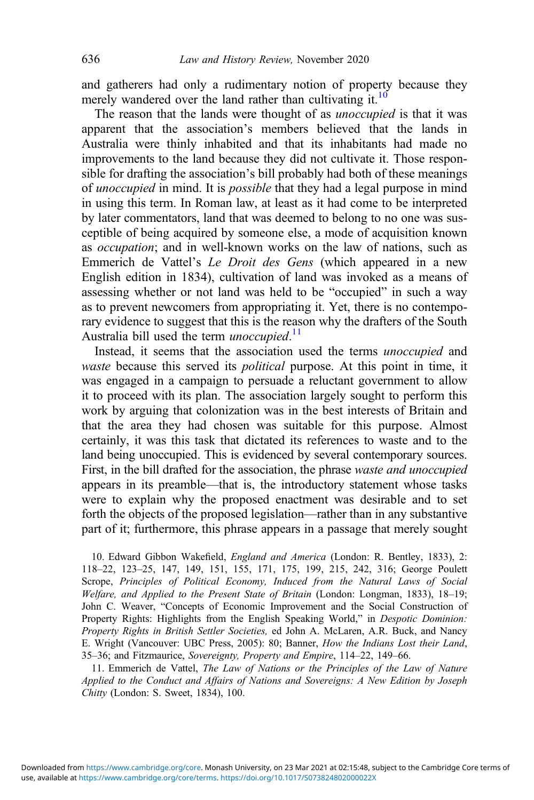and gatherers had only a rudimentary notion of property because they merely wandered over the land rather than cultivating it. $10$ 

The reason that the lands were thought of as unoccupied is that it was apparent that the association's members believed that the lands in Australia were thinly inhabited and that its inhabitants had made no improvements to the land because they did not cultivate it. Those responsible for drafting the association's bill probably had both of these meanings of unoccupied in mind. It is possible that they had a legal purpose in mind in using this term. In Roman law, at least as it had come to be interpreted by later commentators, land that was deemed to belong to no one was susceptible of being acquired by someone else, a mode of acquisition known as occupation; and in well-known works on the law of nations, such as Emmerich de Vattel's *Le Droit des Gens* (which appeared in a new English edition in 1834), cultivation of land was invoked as a means of assessing whether or not land was held to be "occupied" in such a way as to prevent newcomers from appropriating it. Yet, there is no contemporary evidence to suggest that this is the reason why the drafters of the South Australia bill used the term *unoccupied*.<sup>11</sup>

Instead, it seems that the association used the terms unoccupied and waste because this served its *political* purpose. At this point in time, it was engaged in a campaign to persuade a reluctant government to allow it to proceed with its plan. The association largely sought to perform this work by arguing that colonization was in the best interests of Britain and that the area they had chosen was suitable for this purpose. Almost certainly, it was this task that dictated its references to waste and to the land being unoccupied. This is evidenced by several contemporary sources. First, in the bill drafted for the association, the phrase waste and unoccupied appears in its preamble—that is, the introductory statement whose tasks were to explain why the proposed enactment was desirable and to set forth the objects of the proposed legislation—rather than in any substantive part of it; furthermore, this phrase appears in a passage that merely sought

10. Edward Gibbon Wakefield, England and America (London: R. Bentley, 1833), 2: 118–22, 123–25, 147, 149, 151, 155, 171, 175, 199, 215, 242, 316; George Poulett Scrope, Principles of Political Economy, Induced from the Natural Laws of Social Welfare, and Applied to the Present State of Britain (London: Longman, 1833), 18–19; John C. Weaver, "Concepts of Economic Improvement and the Social Construction of Property Rights: Highlights from the English Speaking World," in Despotic Dominion: Property Rights in British Settler Societies, ed John A. McLaren, A.R. Buck, and Nancy E. Wright (Vancouver: UBC Press, 2005): 80; Banner, How the Indians Lost their Land, 35–36; and Fitzmaurice, Sovereignty, Property and Empire, 114–22, 149–66.

11. Emmerich de Vattel, The Law of Nations or the Principles of the Law of Nature Applied to the Conduct and Affairs of Nations and Sovereigns: A New Edition by Joseph Chitty (London: S. Sweet, 1834), 100.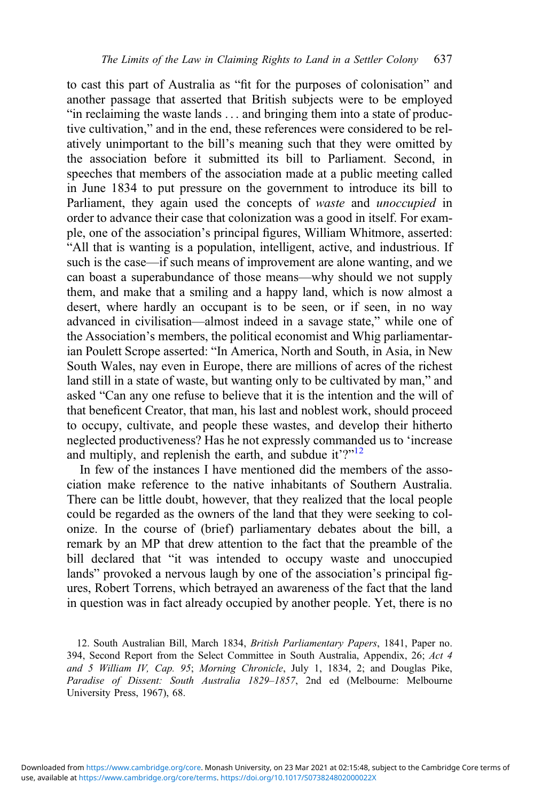to cast this part of Australia as "fit for the purposes of colonisation" and another passage that asserted that British subjects were to be employed "in reclaiming the waste lands ... and bringing them into a state of productive cultivation," and in the end, these references were considered to be relatively unimportant to the bill's meaning such that they were omitted by the association before it submitted its bill to Parliament. Second, in speeches that members of the association made at a public meeting called in June 1834 to put pressure on the government to introduce its bill to Parliament, they again used the concepts of *waste* and *unoccupied* in order to advance their case that colonization was a good in itself. For example, one of the association's principal figures, William Whitmore, asserted: "All that is wanting is a population, intelligent, active, and industrious. If such is the case—if such means of improvement are alone wanting, and we can boast a superabundance of those means—why should we not supply them, and make that a smiling and a happy land, which is now almost a desert, where hardly an occupant is to be seen, or if seen, in no way advanced in civilisation—almost indeed in a savage state," while one of the Association's members, the political economist and Whig parliamentarian Poulett Scrope asserted: "In America, North and South, in Asia, in New South Wales, nay even in Europe, there are millions of acres of the richest land still in a state of waste, but wanting only to be cultivated by man," and asked "Can any one refuse to believe that it is the intention and the will of that beneficent Creator, that man, his last and noblest work, should proceed to occupy, cultivate, and people these wastes, and develop their hitherto neglected productiveness? Has he not expressly commanded us to 'increase and multiply, and replenish the earth, and subdue it'?"<sup>12</sup>

In few of the instances I have mentioned did the members of the association make reference to the native inhabitants of Southern Australia. There can be little doubt, however, that they realized that the local people could be regarded as the owners of the land that they were seeking to colonize. In the course of (brief) parliamentary debates about the bill, a remark by an MP that drew attention to the fact that the preamble of the bill declared that "it was intended to occupy waste and unoccupied lands" provoked a nervous laugh by one of the association's principal figures, Robert Torrens, which betrayed an awareness of the fact that the land in question was in fact already occupied by another people. Yet, there is no

12. South Australian Bill, March 1834, British Parliamentary Papers, 1841, Paper no. 394, Second Report from the Select Committee in South Australia, Appendix, 26; Act 4 and 5 William IV, Cap. 95; Morning Chronicle, July 1, 1834, 2; and Douglas Pike, Paradise of Dissent: South Australia 1829–1857, 2nd ed (Melbourne: Melbourne University Press, 1967), 68.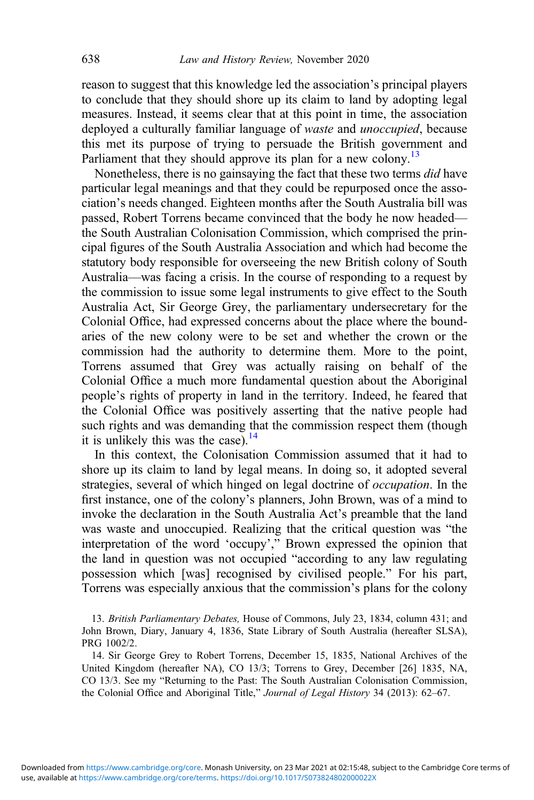reason to suggest that this knowledge led the association's principal players to conclude that they should shore up its claim to land by adopting legal measures. Instead, it seems clear that at this point in time, the association deployed a culturally familiar language of *waste* and *unoccupied*, because this met its purpose of trying to persuade the British government and Parliament that they should approve its plan for a new colony.<sup>13</sup>

Nonetheless, there is no gainsaying the fact that these two terms did have particular legal meanings and that they could be repurposed once the association's needs changed. Eighteen months after the South Australia bill was passed, Robert Torrens became convinced that the body he now headed the South Australian Colonisation Commission, which comprised the principal figures of the South Australia Association and which had become the statutory body responsible for overseeing the new British colony of South Australia—was facing a crisis. In the course of responding to a request by the commission to issue some legal instruments to give effect to the South Australia Act, Sir George Grey, the parliamentary undersecretary for the Colonial Office, had expressed concerns about the place where the boundaries of the new colony were to be set and whether the crown or the commission had the authority to determine them. More to the point, Torrens assumed that Grey was actually raising on behalf of the Colonial Office a much more fundamental question about the Aboriginal people's rights of property in land in the territory. Indeed, he feared that the Colonial Office was positively asserting that the native people had such rights and was demanding that the commission respect them (though it is unlikely this was the case). $14$ 

In this context, the Colonisation Commission assumed that it had to shore up its claim to land by legal means. In doing so, it adopted several strategies, several of which hinged on legal doctrine of occupation. In the first instance, one of the colony's planners, John Brown, was of a mind to invoke the declaration in the South Australia Act's preamble that the land was waste and unoccupied. Realizing that the critical question was "the interpretation of the word 'occupy'," Brown expressed the opinion that the land in question was not occupied "according to any law regulating possession which [was] recognised by civilised people." For his part, Torrens was especially anxious that the commission's plans for the colony

13. British Parliamentary Debates, House of Commons, July 23, 1834, column 431; and John Brown, Diary, January 4, 1836, State Library of South Australia (hereafter SLSA), PRG 1002/2.

14. Sir George Grey to Robert Torrens, December 15, 1835, National Archives of the United Kingdom (hereafter NA), CO 13/3; Torrens to Grey, December [26] 1835, NA, CO 13/3. See my "Returning to the Past: The South Australian Colonisation Commission, the Colonial Office and Aboriginal Title," Journal of Legal History 34 (2013): 62-67.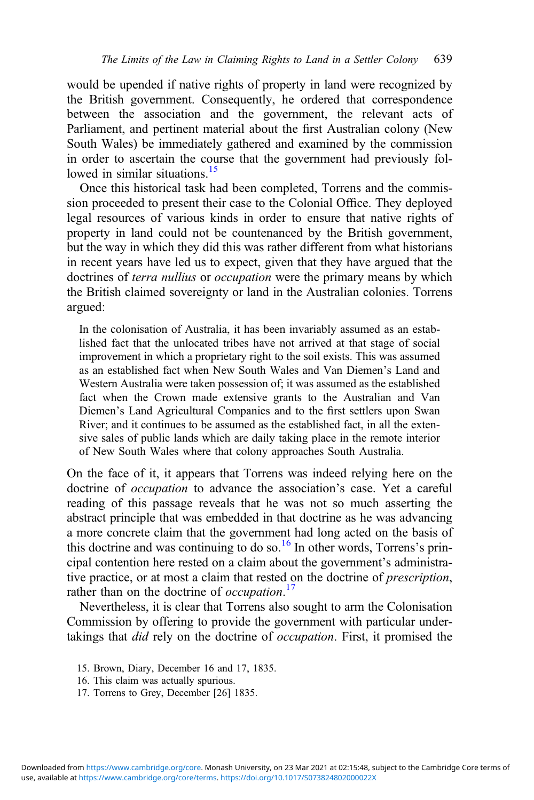would be upended if native rights of property in land were recognized by the British government. Consequently, he ordered that correspondence between the association and the government, the relevant acts of Parliament, and pertinent material about the first Australian colony (New South Wales) be immediately gathered and examined by the commission in order to ascertain the course that the government had previously followed in similar situations.<sup>15</sup>

Once this historical task had been completed, Torrens and the commission proceeded to present their case to the Colonial Office. They deployed legal resources of various kinds in order to ensure that native rights of property in land could not be countenanced by the British government, but the way in which they did this was rather different from what historians in recent years have led us to expect, given that they have argued that the doctrines of *terra nullius* or *occupation* were the primary means by which the British claimed sovereignty or land in the Australian colonies. Torrens argued:

In the colonisation of Australia, it has been invariably assumed as an established fact that the unlocated tribes have not arrived at that stage of social improvement in which a proprietary right to the soil exists. This was assumed as an established fact when New South Wales and Van Diemen's Land and Western Australia were taken possession of; it was assumed as the established fact when the Crown made extensive grants to the Australian and Van Diemen's Land Agricultural Companies and to the first settlers upon Swan River; and it continues to be assumed as the established fact, in all the extensive sales of public lands which are daily taking place in the remote interior of New South Wales where that colony approaches South Australia.

On the face of it, it appears that Torrens was indeed relying here on the doctrine of occupation to advance the association's case. Yet a careful reading of this passage reveals that he was not so much asserting the abstract principle that was embedded in that doctrine as he was advancing a more concrete claim that the government had long acted on the basis of this doctrine and was continuing to do so. $16$  In other words, Torrens's principal contention here rested on a claim about the government's administrative practice, or at most a claim that rested on the doctrine of prescription, rather than on the doctrine of *occupation*.<sup>17</sup>

Nevertheless, it is clear that Torrens also sought to arm the Colonisation Commission by offering to provide the government with particular undertakings that did rely on the doctrine of occupation. First, it promised the

- 15. Brown, Diary, December 16 and 17, 1835.
- 16. This claim was actually spurious.
- 17. Torrens to Grey, December [26] 1835.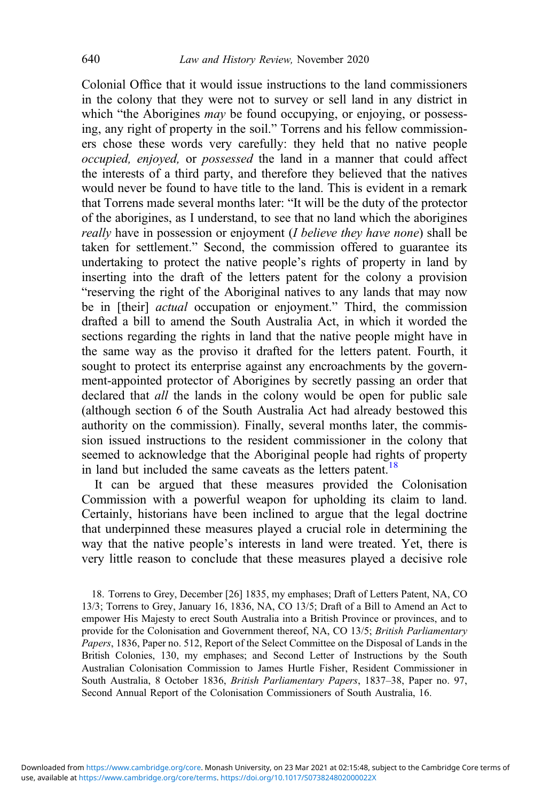Colonial Office that it would issue instructions to the land commissioners in the colony that they were not to survey or sell land in any district in which "the Aborigines *may* be found occupying, or enjoying, or possessing, any right of property in the soil." Torrens and his fellow commissioners chose these words very carefully: they held that no native people occupied, enjoyed, or possessed the land in a manner that could affect the interests of a third party, and therefore they believed that the natives would never be found to have title to the land. This is evident in a remark that Torrens made several months later: "It will be the duty of the protector of the aborigines, as I understand, to see that no land which the aborigines really have in possession or enjoyment (*I believe they have none*) shall be taken for settlement." Second, the commission offered to guarantee its undertaking to protect the native people's rights of property in land by inserting into the draft of the letters patent for the colony a provision "reserving the right of the Aboriginal natives to any lands that may now be in [their] *actual* occupation or enjoyment." Third, the commission drafted a bill to amend the South Australia Act, in which it worded the sections regarding the rights in land that the native people might have in the same way as the proviso it drafted for the letters patent. Fourth, it sought to protect its enterprise against any encroachments by the government-appointed protector of Aborigines by secretly passing an order that declared that *all* the lands in the colony would be open for public sale (although section 6 of the South Australia Act had already bestowed this authority on the commission). Finally, several months later, the commission issued instructions to the resident commissioner in the colony that seemed to acknowledge that the Aboriginal people had rights of property in land but included the same caveats as the letters patent.<sup>18</sup>

It can be argued that these measures provided the Colonisation Commission with a powerful weapon for upholding its claim to land. Certainly, historians have been inclined to argue that the legal doctrine that underpinned these measures played a crucial role in determining the way that the native people's interests in land were treated. Yet, there is very little reason to conclude that these measures played a decisive role

18. Torrens to Grey, December [26] 1835, my emphases; Draft of Letters Patent, NA, CO 13/3; Torrens to Grey, January 16, 1836, NA, CO 13/5; Draft of a Bill to Amend an Act to empower His Majesty to erect South Australia into a British Province or provinces, and to provide for the Colonisation and Government thereof, NA, CO 13/5; British Parliamentary Papers, 1836, Paper no. 512, Report of the Select Committee on the Disposal of Lands in the British Colonies, 130, my emphases; and Second Letter of Instructions by the South Australian Colonisation Commission to James Hurtle Fisher, Resident Commissioner in South Australia, 8 October 1836, British Parliamentary Papers, 1837–38, Paper no. 97, Second Annual Report of the Colonisation Commissioners of South Australia, 16.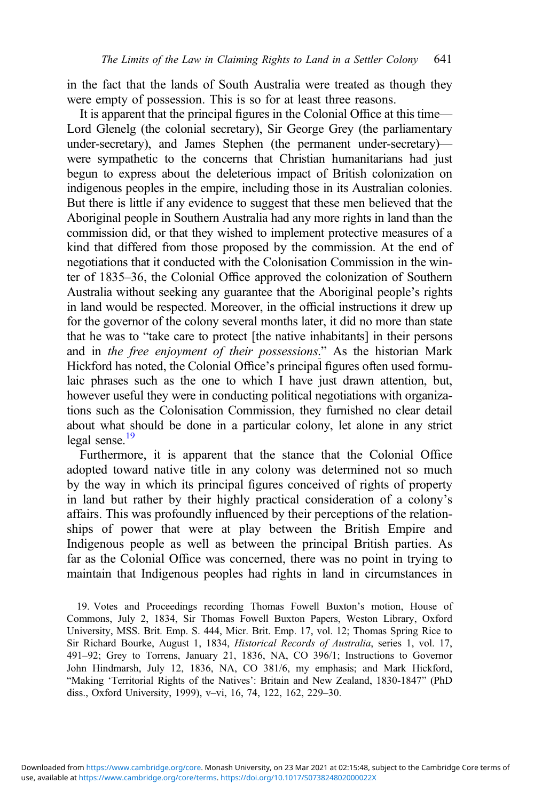in the fact that the lands of South Australia were treated as though they were empty of possession. This is so for at least three reasons.

It is apparent that the principal figures in the Colonial Office at this time— Lord Glenelg (the colonial secretary), Sir George Grey (the parliamentary under-secretary), and James Stephen (the permanent under-secretary) were sympathetic to the concerns that Christian humanitarians had just begun to express about the deleterious impact of British colonization on indigenous peoples in the empire, including those in its Australian colonies. But there is little if any evidence to suggest that these men believed that the Aboriginal people in Southern Australia had any more rights in land than the commission did, or that they wished to implement protective measures of a kind that differed from those proposed by the commission. At the end of negotiations that it conducted with the Colonisation Commission in the winter of 1835–36, the Colonial Office approved the colonization of Southern Australia without seeking any guarantee that the Aboriginal people's rights in land would be respected. Moreover, in the official instructions it drew up for the governor of the colony several months later, it did no more than state that he was to "take care to protect [the native inhabitants] in their persons and in the free enjoyment of their possessions." As the historian Mark Hickford has noted, the Colonial Office's principal figures often used formulaic phrases such as the one to which I have just drawn attention, but, however useful they were in conducting political negotiations with organizations such as the Colonisation Commission, they furnished no clear detail about what should be done in a particular colony, let alone in any strict legal sense. $19$ 

Furthermore, it is apparent that the stance that the Colonial Office adopted toward native title in any colony was determined not so much by the way in which its principal figures conceived of rights of property in land but rather by their highly practical consideration of a colony's affairs. This was profoundly influenced by their perceptions of the relationships of power that were at play between the British Empire and Indigenous people as well as between the principal British parties. As far as the Colonial Office was concerned, there was no point in trying to maintain that Indigenous peoples had rights in land in circumstances in

19. Votes and Proceedings recording Thomas Fowell Buxton's motion, House of Commons, July 2, 1834, Sir Thomas Fowell Buxton Papers, Weston Library, Oxford University, MSS. Brit. Emp. S. 444, Micr. Brit. Emp. 17, vol. 12; Thomas Spring Rice to Sir Richard Bourke, August 1, 1834, Historical Records of Australia, series 1, vol. 17, 491–92; Grey to Torrens, January 21, 1836, NA, CO 396/1; Instructions to Governor John Hindmarsh, July 12, 1836, NA, CO 381/6, my emphasis; and Mark Hickford, "Making 'Territorial Rights of the Natives': Britain and New Zealand, 1830-1847" (PhD diss., Oxford University, 1999), v–vi, 16, 74, 122, 162, 229–30.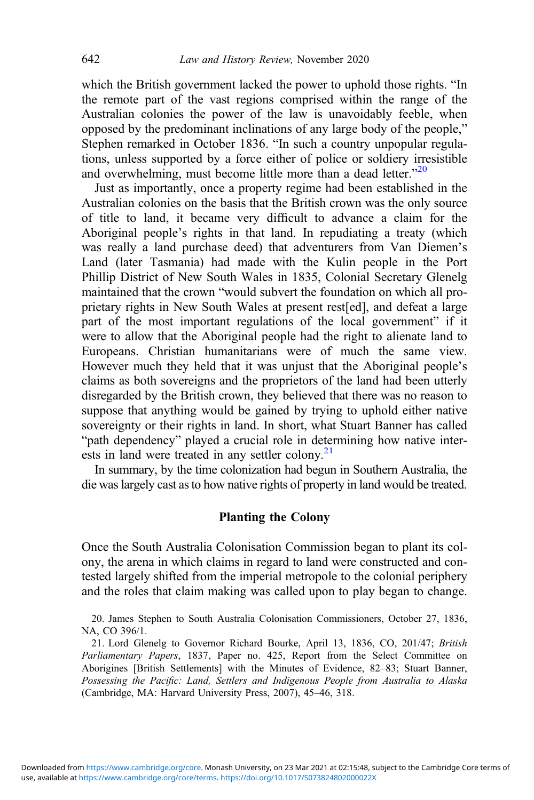which the British government lacked the power to uphold those rights. "In the remote part of the vast regions comprised within the range of the Australian colonies the power of the law is unavoidably feeble, when opposed by the predominant inclinations of any large body of the people," Stephen remarked in October 1836. "In such a country unpopular regulations, unless supported by a force either of police or soldiery irresistible and overwhelming, must become little more than a dead letter."<sup>20</sup>

Just as importantly, once a property regime had been established in the Australian colonies on the basis that the British crown was the only source of title to land, it became very difficult to advance a claim for the Aboriginal people's rights in that land. In repudiating a treaty (which was really a land purchase deed) that adventurers from Van Diemen's Land (later Tasmania) had made with the Kulin people in the Port Phillip District of New South Wales in 1835, Colonial Secretary Glenelg maintained that the crown "would subvert the foundation on which all proprietary rights in New South Wales at present rest[ed], and defeat a large part of the most important regulations of the local government" if it were to allow that the Aboriginal people had the right to alienate land to Europeans. Christian humanitarians were of much the same view. However much they held that it was unjust that the Aboriginal people's claims as both sovereigns and the proprietors of the land had been utterly disregarded by the British crown, they believed that there was no reason to suppose that anything would be gained by trying to uphold either native sovereignty or their rights in land. In short, what Stuart Banner has called "path dependency" played a crucial role in determining how native interests in land were treated in any settler colony.<sup>21</sup>

In summary, by the time colonization had begun in Southern Australia, the die was largely cast as to how native rights of property in land would be treated.

### Planting the Colony

Once the South Australia Colonisation Commission began to plant its colony, the arena in which claims in regard to land were constructed and contested largely shifted from the imperial metropole to the colonial periphery and the roles that claim making was called upon to play began to change.

20. James Stephen to South Australia Colonisation Commissioners, October 27, 1836, NA, CO 396/1.

21. Lord Glenelg to Governor Richard Bourke, April 13, 1836, CO, 201/47; British Parliamentary Papers, 1837, Paper no. 425, Report from the Select Committee on Aborigines [British Settlements] with the Minutes of Evidence, 82–83; Stuart Banner, Possessing the Pacific: Land, Settlers and Indigenous People from Australia to Alaska (Cambridge, MA: Harvard University Press, 2007), 45–46, 318.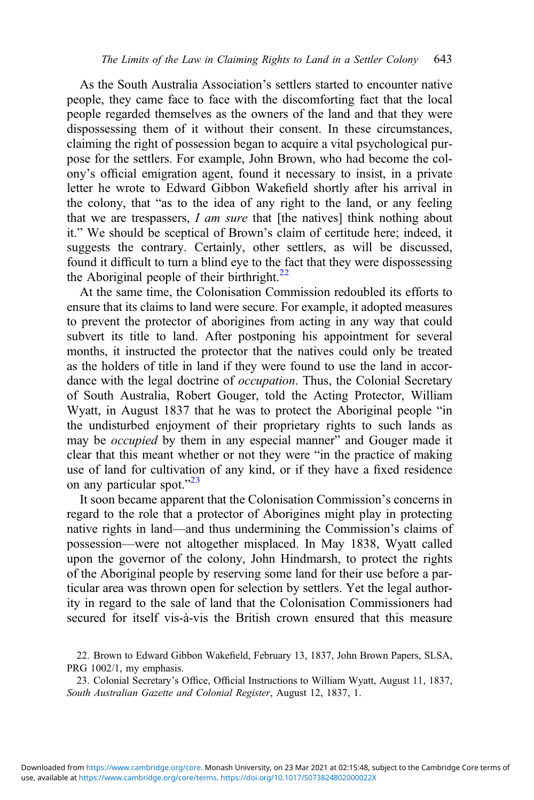As the South Australia Association's settlers started to encounter native people, they came face to face with the discomforting fact that the local people regarded themselves as the owners of the land and that they were dispossessing them of it without their consent. In these circumstances, claiming the right of possession began to acquire a vital psychological purpose for the settlers. For example, John Brown, who had become the colony's official emigration agent, found it necessary to insist, in a private letter he wrote to Edward Gibbon Wakefield shortly after his arrival in the colony, that "as to the idea of any right to the land, or any feeling that we are trespassers,  $I$  am sure that [the natives] think nothing about it." We should be sceptical of Brown's claim of certitude here; indeed, it suggests the contrary. Certainly, other settlers, as will be discussed, found it difficult to turn a blind eye to the fact that they were dispossessing the Aboriginal people of their birthright. $^{22}$ 

At the same time, the Colonisation Commission redoubled its efforts to ensure that its claims to land were secure. For example, it adopted measures to prevent the protector of aborigines from acting in any way that could subvert its title to land. After postponing his appointment for several months, it instructed the protector that the natives could only be treated as the holders of title in land if they were found to use the land in accordance with the legal doctrine of *occupation*. Thus, the Colonial Secretary of South Australia, Robert Gouger, told the Acting Protector, William Wyatt, in August 1837 that he was to protect the Aboriginal people "in the undisturbed enjoyment of their proprietary rights to such lands as may be *occupied* by them in any especial manner" and Gouger made it clear that this meant whether or not they were "in the practice of making use of land for cultivation of any kind, or if they have a fixed residence on any particular spot."<sup>23</sup>

It soon became apparent that the Colonisation Commission's concerns in regard to the role that a protector of Aborigines might play in protecting native rights in land—and thus undermining the Commission's claims of possession—were not altogether misplaced. In May 1838, Wyatt called upon the governor of the colony, John Hindmarsh, to protect the rights of the Aboriginal people by reserving some land for their use before a particular area was thrown open for selection by settlers. Yet the legal authority in regard to the sale of land that the Colonisation Commissioners had secured for itself vis-à-vis the British crown ensured that this measure

<sup>22.</sup> Brown to Edward Gibbon Wakefield, February 13, 1837, John Brown Papers, SLSA, PRG 1002/1, my emphasis.

<sup>23.</sup> Colonial Secretary's Office, Official Instructions to William Wyatt, August 11, 1837, South Australian Gazette and Colonial Register, August 12, 1837, 1.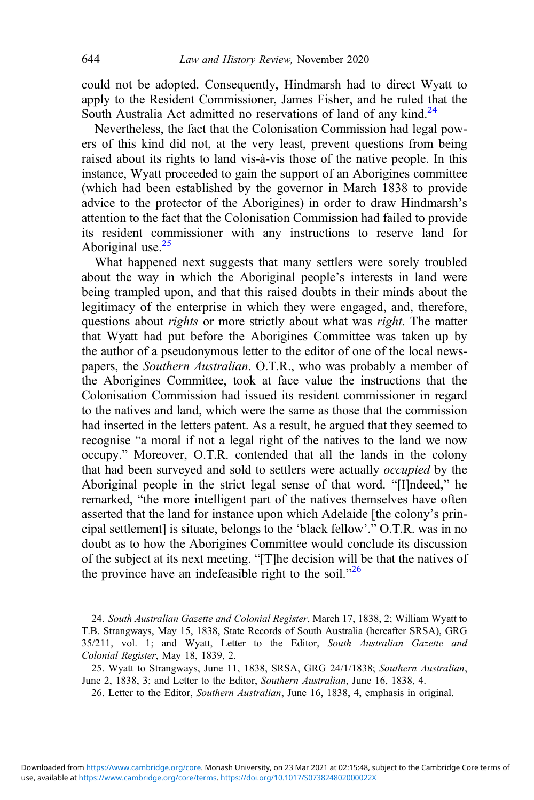could not be adopted. Consequently, Hindmarsh had to direct Wyatt to apply to the Resident Commissioner, James Fisher, and he ruled that the South Australia Act admitted no reservations of land of any kind.<sup>24</sup>

Nevertheless, the fact that the Colonisation Commission had legal powers of this kind did not, at the very least, prevent questions from being raised about its rights to land vis-à-vis those of the native people. In this instance, Wyatt proceeded to gain the support of an Aborigines committee (which had been established by the governor in March 1838 to provide advice to the protector of the Aborigines) in order to draw Hindmarsh's attention to the fact that the Colonisation Commission had failed to provide its resident commissioner with any instructions to reserve land for Aboriginal use. $25$ 

What happened next suggests that many settlers were sorely troubled about the way in which the Aboriginal people's interests in land were being trampled upon, and that this raised doubts in their minds about the legitimacy of the enterprise in which they were engaged, and, therefore, questions about *rights* or more strictly about what was *right*. The matter that Wyatt had put before the Aborigines Committee was taken up by the author of a pseudonymous letter to the editor of one of the local newspapers, the Southern Australian. O.T.R., who was probably a member of the Aborigines Committee, took at face value the instructions that the Colonisation Commission had issued its resident commissioner in regard to the natives and land, which were the same as those that the commission had inserted in the letters patent. As a result, he argued that they seemed to recognise "a moral if not a legal right of the natives to the land we now occupy." Moreover, O.T.R. contended that all the lands in the colony that had been surveyed and sold to settlers were actually occupied by the Aboriginal people in the strict legal sense of that word. "[I]ndeed," he remarked, "the more intelligent part of the natives themselves have often asserted that the land for instance upon which Adelaide [the colony's principal settlement] is situate, belongs to the 'black fellow'." O.T.R. was in no doubt as to how the Aborigines Committee would conclude its discussion of the subject at its next meeting. "[T]he decision will be that the natives of the province have an indefeasible right to the soil."<sup>26</sup>

25. Wyatt to Strangways, June 11, 1838, SRSA, GRG 24/1/1838; Southern Australian, June 2, 1838, 3; and Letter to the Editor, Southern Australian, June 16, 1838, 4.

26. Letter to the Editor, Southern Australian, June 16, 1838, 4, emphasis in original.

<sup>24.</sup> South Australian Gazette and Colonial Register, March 17, 1838, 2; William Wyatt to T.B. Strangways, May 15, 1838, State Records of South Australia (hereafter SRSA), GRG 35/211, vol. 1; and Wyatt, Letter to the Editor, South Australian Gazette and Colonial Register, May 18, 1839, 2.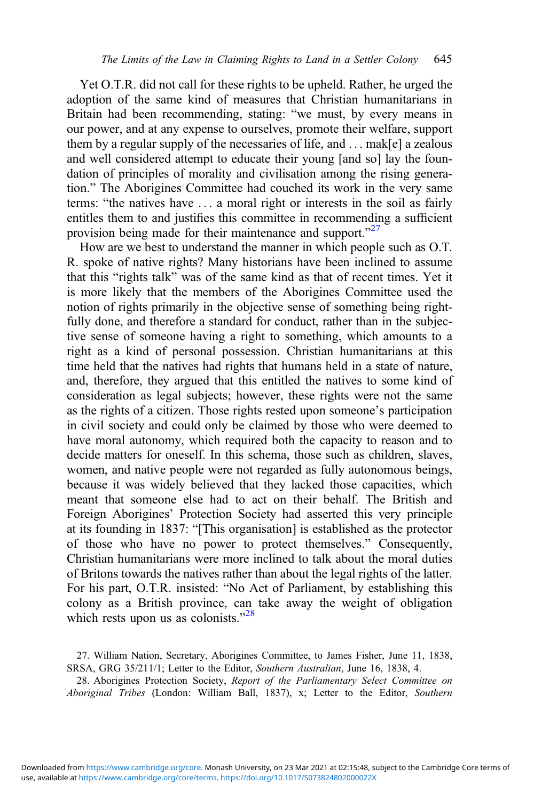Yet O.T.R. did not call for these rights to be upheld. Rather, he urged the adoption of the same kind of measures that Christian humanitarians in Britain had been recommending, stating: "we must, by every means in our power, and at any expense to ourselves, promote their welfare, support them by a regular supply of the necessaries of life, and ... mak[e] a zealous and well considered attempt to educate their young [and so] lay the foundation of principles of morality and civilisation among the rising generation." The Aborigines Committee had couched its work in the very same terms: "the natives have ... a moral right or interests in the soil as fairly entitles them to and justifies this committee in recommending a sufficient provision being made for their maintenance and support."<sup>27</sup>

How are we best to understand the manner in which people such as O.T. R. spoke of native rights? Many historians have been inclined to assume that this "rights talk" was of the same kind as that of recent times. Yet it is more likely that the members of the Aborigines Committee used the notion of rights primarily in the objective sense of something being rightfully done, and therefore a standard for conduct, rather than in the subjective sense of someone having a right to something, which amounts to a right as a kind of personal possession. Christian humanitarians at this time held that the natives had rights that humans held in a state of nature, and, therefore, they argued that this entitled the natives to some kind of consideration as legal subjects; however, these rights were not the same as the rights of a citizen. Those rights rested upon someone's participation in civil society and could only be claimed by those who were deemed to have moral autonomy, which required both the capacity to reason and to decide matters for oneself. In this schema, those such as children, slaves, women, and native people were not regarded as fully autonomous beings, because it was widely believed that they lacked those capacities, which meant that someone else had to act on their behalf. The British and Foreign Aborigines' Protection Society had asserted this very principle at its founding in 1837: "[This organisation] is established as the protector of those who have no power to protect themselves." Consequently, Christian humanitarians were more inclined to talk about the moral duties of Britons towards the natives rather than about the legal rights of the latter. For his part, O.T.R. insisted: "No Act of Parliament, by establishing this colony as a British province, can take away the weight of obligation which rests upon us as colonists."<sup>28</sup>

28. Aborigines Protection Society, Report of the Parliamentary Select Committee on Aboriginal Tribes (London: William Ball, 1837), x; Letter to the Editor, Southern

<sup>27.</sup> William Nation, Secretary, Aborigines Committee, to James Fisher, June 11, 1838, SRSA, GRG 35/211/1; Letter to the Editor, Southern Australian, June 16, 1838, 4.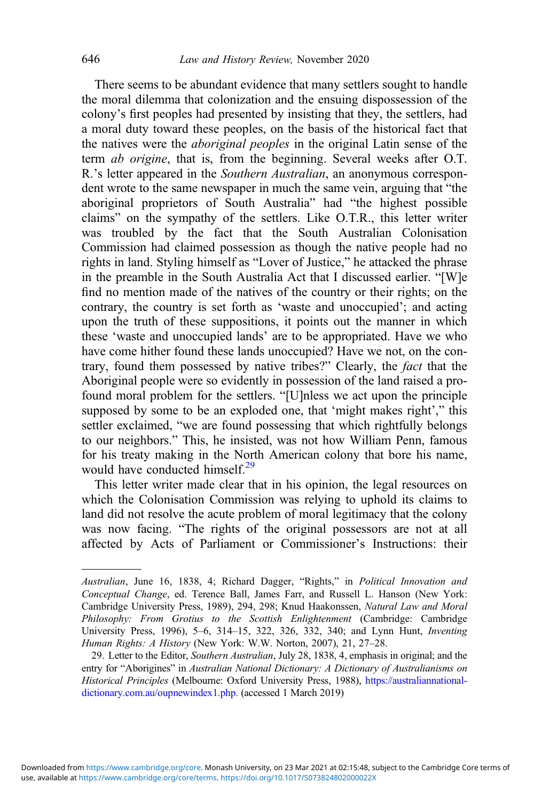There seems to be abundant evidence that many settlers sought to handle the moral dilemma that colonization and the ensuing dispossession of the colony's first peoples had presented by insisting that they, the settlers, had a moral duty toward these peoples, on the basis of the historical fact that the natives were the aboriginal peoples in the original Latin sense of the term ab origine, that is, from the beginning. Several weeks after O.T. R.'s letter appeared in the Southern Australian, an anonymous correspondent wrote to the same newspaper in much the same vein, arguing that "the aboriginal proprietors of South Australia" had "the highest possible claims" on the sympathy of the settlers. Like O.T.R., this letter writer was troubled by the fact that the South Australian Colonisation Commission had claimed possession as though the native people had no rights in land. Styling himself as "Lover of Justice," he attacked the phrase in the preamble in the South Australia Act that I discussed earlier. "[W]e find no mention made of the natives of the country or their rights; on the contrary, the country is set forth as 'waste and unoccupied'; and acting upon the truth of these suppositions, it points out the manner in which these 'waste and unoccupied lands' are to be appropriated. Have we who have come hither found these lands unoccupied? Have we not, on the contrary, found them possessed by native tribes?" Clearly, the fact that the Aboriginal people were so evidently in possession of the land raised a profound moral problem for the settlers. "[U]nless we act upon the principle supposed by some to be an exploded one, that 'might makes right'," this settler exclaimed, "we are found possessing that which rightfully belongs to our neighbors." This, he insisted, was not how William Penn, famous for his treaty making in the North American colony that bore his name, would have conducted himself.<sup>29</sup>

This letter writer made clear that in his opinion, the legal resources on which the Colonisation Commission was relying to uphold its claims to land did not resolve the acute problem of moral legitimacy that the colony was now facing. "The rights of the original possessors are not at all affected by Acts of Parliament or Commissioner's Instructions: their

Australian, June 16, 1838, 4; Richard Dagger, "Rights," in Political Innovation and Conceptual Change, ed. Terence Ball, James Farr, and Russell L. Hanson (New York: Cambridge University Press, 1989), 294, 298; Knud Haakonssen, Natural Law and Moral Philosophy: From Grotius to the Scottish Enlightenment (Cambridge: Cambridge University Press, 1996), 5–6, 314–15, 322, 326, 332, 340; and Lynn Hunt, Inventing Human Rights: A History (New York: W.W. Norton, 2007), 21, 27–28.

<sup>29.</sup> Letter to the Editor, Southern Australian, July 28, 1838, 4, emphasis in original; and the entry for "Aborigines" in Australian National Dictionary: A Dictionary of Australianisms on Historical Principles (Melbourne: Oxford University Press, 1988), https://australiannationaldictionary.com.au/oupnewindex1.php. (accessed 1 March 2019)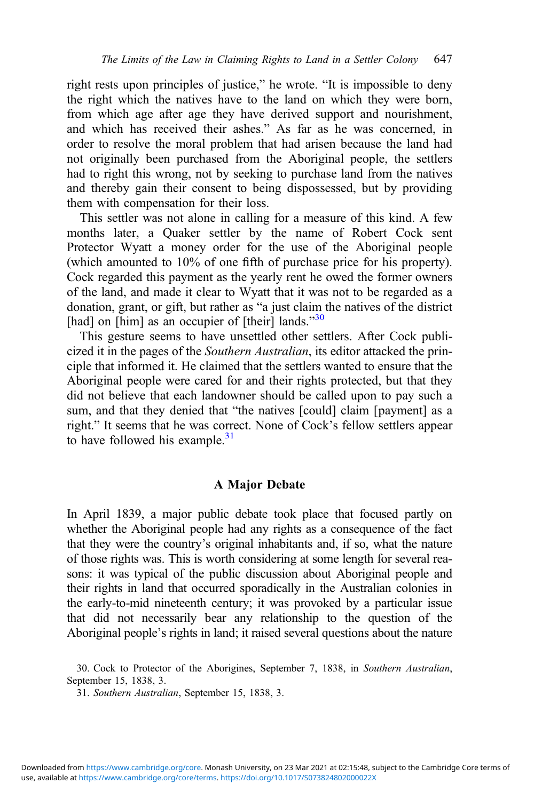right rests upon principles of justice," he wrote. "It is impossible to deny the right which the natives have to the land on which they were born, from which age after age they have derived support and nourishment, and which has received their ashes." As far as he was concerned, in order to resolve the moral problem that had arisen because the land had not originally been purchased from the Aboriginal people, the settlers had to right this wrong, not by seeking to purchase land from the natives and thereby gain their consent to being dispossessed, but by providing them with compensation for their loss.

This settler was not alone in calling for a measure of this kind. A few months later, a Quaker settler by the name of Robert Cock sent Protector Wyatt a money order for the use of the Aboriginal people (which amounted to 10% of one fifth of purchase price for his property). Cock regarded this payment as the yearly rent he owed the former owners of the land, and made it clear to Wyatt that it was not to be regarded as a donation, grant, or gift, but rather as "a just claim the natives of the district [had] on [him] as an occupier of [their] lands."30

This gesture seems to have unsettled other settlers. After Cock publicized it in the pages of the Southern Australian, its editor attacked the principle that informed it. He claimed that the settlers wanted to ensure that the Aboriginal people were cared for and their rights protected, but that they did not believe that each landowner should be called upon to pay such a sum, and that they denied that "the natives [could] claim [payment] as a right." It seems that he was correct. None of Cock's fellow settlers appear to have followed his example. $31$ 

## a major debate

In April 1839, a major public debate took place that focused partly on whether the Aboriginal people had any rights as a consequence of the fact that they were the country's original inhabitants and, if so, what the nature of those rights was. This is worth considering at some length for several reasons: it was typical of the public discussion about Aboriginal people and their rights in land that occurred sporadically in the Australian colonies in the early-to-mid nineteenth century; it was provoked by a particular issue that did not necessarily bear any relationship to the question of the Aboriginal people's rights in land; it raised several questions about the nature

31. Southern Australian, September 15, 1838, 3.

<sup>30.</sup> Cock to Protector of the Aborigines, September 7, 1838, in Southern Australian, September 15, 1838, 3.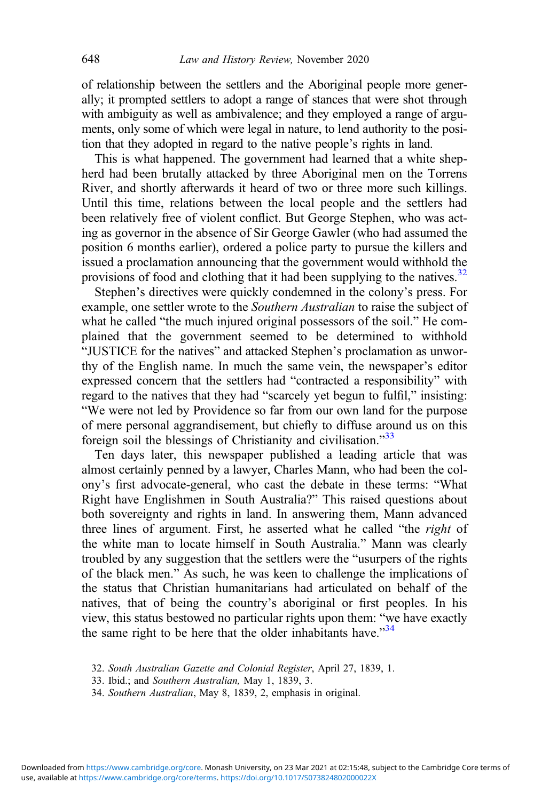of relationship between the settlers and the Aboriginal people more generally; it prompted settlers to adopt a range of stances that were shot through with ambiguity as well as ambivalence; and they employed a range of arguments, only some of which were legal in nature, to lend authority to the position that they adopted in regard to the native people's rights in land.

This is what happened. The government had learned that a white shepherd had been brutally attacked by three Aboriginal men on the Torrens River, and shortly afterwards it heard of two or three more such killings. Until this time, relations between the local people and the settlers had been relatively free of violent conflict. But George Stephen, who was acting as governor in the absence of Sir George Gawler (who had assumed the position 6 months earlier), ordered a police party to pursue the killers and issued a proclamation announcing that the government would withhold the provisions of food and clothing that it had been supplying to the natives.<sup>32</sup>

Stephen's directives were quickly condemned in the colony's press. For example, one settler wrote to the Southern Australian to raise the subject of what he called "the much injured original possessors of the soil." He complained that the government seemed to be determined to withhold "JUSTICE for the natives" and attacked Stephen's proclamation as unworthy of the English name. In much the same vein, the newspaper's editor expressed concern that the settlers had "contracted a responsibility" with regard to the natives that they had "scarcely yet begun to fulfil," insisting: "We were not led by Providence so far from our own land for the purpose of mere personal aggrandisement, but chiefly to diffuse around us on this foreign soil the blessings of Christianity and civilisation."33

Ten days later, this newspaper published a leading article that was almost certainly penned by a lawyer, Charles Mann, who had been the colony's first advocate-general, who cast the debate in these terms: "What Right have Englishmen in South Australia?" This raised questions about both sovereignty and rights in land. In answering them, Mann advanced three lines of argument. First, he asserted what he called "the right of the white man to locate himself in South Australia." Mann was clearly troubled by any suggestion that the settlers were the "usurpers of the rights of the black men." As such, he was keen to challenge the implications of the status that Christian humanitarians had articulated on behalf of the natives, that of being the country's aboriginal or first peoples. In his view, this status bestowed no particular rights upon them: "we have exactly the same right to be here that the older inhabitants have."34

- 33. Ibid.; and Southern Australian, May 1, 1839, 3.
- 34. Southern Australian, May 8, 1839, 2, emphasis in original.

<sup>32.</sup> South Australian Gazette and Colonial Register, April 27, 1839, 1.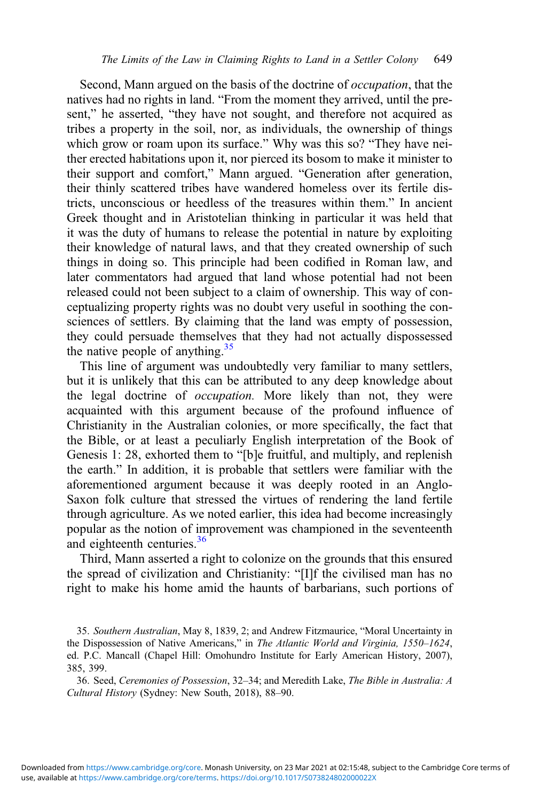Second, Mann argued on the basis of the doctrine of occupation, that the natives had no rights in land. "From the moment they arrived, until the present," he asserted, "they have not sought, and therefore not acquired as tribes a property in the soil, nor, as individuals, the ownership of things which grow or roam upon its surface." Why was this so? "They have neither erected habitations upon it, nor pierced its bosom to make it minister to their support and comfort," Mann argued. "Generation after generation, their thinly scattered tribes have wandered homeless over its fertile districts, unconscious or heedless of the treasures within them." In ancient Greek thought and in Aristotelian thinking in particular it was held that it was the duty of humans to release the potential in nature by exploiting their knowledge of natural laws, and that they created ownership of such things in doing so. This principle had been codified in Roman law, and later commentators had argued that land whose potential had not been released could not been subject to a claim of ownership. This way of conceptualizing property rights was no doubt very useful in soothing the consciences of settlers. By claiming that the land was empty of possession, they could persuade themselves that they had not actually dispossessed the native people of anything.<sup>35</sup>

This line of argument was undoubtedly very familiar to many settlers, but it is unlikely that this can be attributed to any deep knowledge about the legal doctrine of occupation. More likely than not, they were acquainted with this argument because of the profound influence of Christianity in the Australian colonies, or more specifically, the fact that the Bible, or at least a peculiarly English interpretation of the Book of Genesis 1: 28, exhorted them to "[b]e fruitful, and multiply, and replenish the earth." In addition, it is probable that settlers were familiar with the aforementioned argument because it was deeply rooted in an Anglo-Saxon folk culture that stressed the virtues of rendering the land fertile through agriculture. As we noted earlier, this idea had become increasingly popular as the notion of improvement was championed in the seventeenth and eighteenth centuries.<sup>36</sup>

Third, Mann asserted a right to colonize on the grounds that this ensured the spread of civilization and Christianity: "[I]f the civilised man has no right to make his home amid the haunts of barbarians, such portions of

35. Southern Australian, May 8, 1839, 2; and Andrew Fitzmaurice, "Moral Uncertainty in the Dispossession of Native Americans," in The Atlantic World and Virginia, 1550–1624, ed. P.C. Mancall (Chapel Hill: Omohundro Institute for Early American History, 2007), 385, 399.

36. Seed, Ceremonies of Possession, 32–34; and Meredith Lake, The Bible in Australia: A Cultural History (Sydney: New South, 2018), 88–90.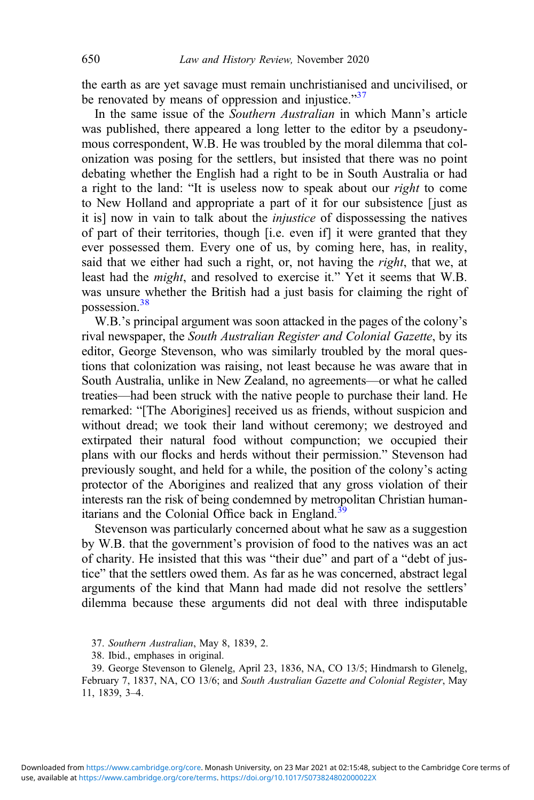the earth as are yet savage must remain unchristianised and uncivilised, or be renovated by means of oppression and injustice."37

In the same issue of the *Southern Australian* in which Mann's article was published, there appeared a long letter to the editor by a pseudonymous correspondent, W.B. He was troubled by the moral dilemma that colonization was posing for the settlers, but insisted that there was no point debating whether the English had a right to be in South Australia or had a right to the land: "It is useless now to speak about our right to come to New Holland and appropriate a part of it for our subsistence [just as it is] now in vain to talk about the injustice of dispossessing the natives of part of their territories, though [i.e. even if] it were granted that they ever possessed them. Every one of us, by coming here, has, in reality, said that we either had such a right, or, not having the *right*, that we, at least had the might, and resolved to exercise it." Yet it seems that W.B. was unsure whether the British had a just basis for claiming the right of possession.38

W.B.'s principal argument was soon attacked in the pages of the colony's rival newspaper, the South Australian Register and Colonial Gazette, by its editor, George Stevenson, who was similarly troubled by the moral questions that colonization was raising, not least because he was aware that in South Australia, unlike in New Zealand, no agreements—or what he called treaties—had been struck with the native people to purchase their land. He remarked: "[The Aborigines] received us as friends, without suspicion and without dread; we took their land without ceremony; we destroyed and extirpated their natural food without compunction; we occupied their plans with our flocks and herds without their permission." Stevenson had previously sought, and held for a while, the position of the colony's acting protector of the Aborigines and realized that any gross violation of their interests ran the risk of being condemned by metropolitan Christian humanitarians and the Colonial Office back in England.<sup>39</sup>

Stevenson was particularly concerned about what he saw as a suggestion by W.B. that the government's provision of food to the natives was an act of charity. He insisted that this was "their due" and part of a "debt of justice" that the settlers owed them. As far as he was concerned, abstract legal arguments of the kind that Mann had made did not resolve the settlers' dilemma because these arguments did not deal with three indisputable

<sup>37.</sup> Southern Australian, May 8, 1839, 2.

<sup>38.</sup> Ibid., emphases in original.

<sup>39.</sup> George Stevenson to Glenelg, April 23, 1836, NA, CO 13/5; Hindmarsh to Glenelg, February 7, 1837, NA, CO 13/6; and South Australian Gazette and Colonial Register, May 11, 1839, 3–4.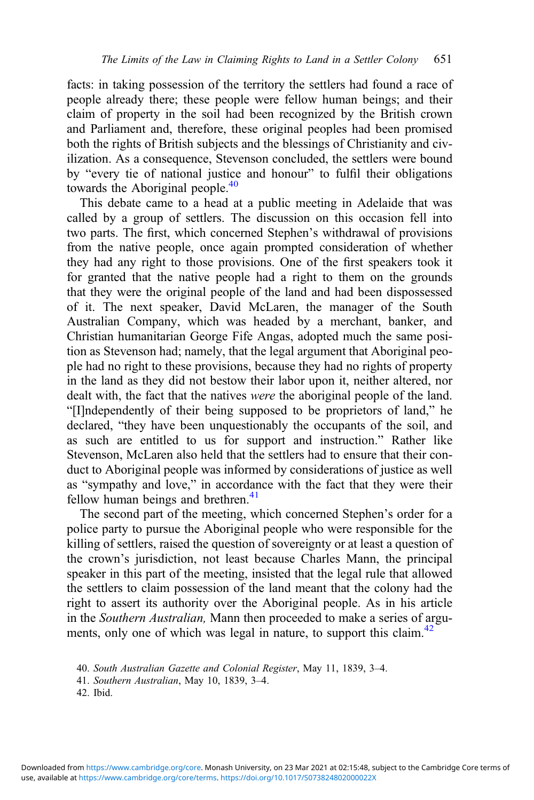facts: in taking possession of the territory the settlers had found a race of people already there; these people were fellow human beings; and their claim of property in the soil had been recognized by the British crown and Parliament and, therefore, these original peoples had been promised both the rights of British subjects and the blessings of Christianity and civilization. As a consequence, Stevenson concluded, the settlers were bound by "every tie of national justice and honour" to fulfil their obligations towards the Aboriginal people. $40$ 

This debate came to a head at a public meeting in Adelaide that was called by a group of settlers. The discussion on this occasion fell into two parts. The first, which concerned Stephen's withdrawal of provisions from the native people, once again prompted consideration of whether they had any right to those provisions. One of the first speakers took it for granted that the native people had a right to them on the grounds that they were the original people of the land and had been dispossessed of it. The next speaker, David McLaren, the manager of the South Australian Company, which was headed by a merchant, banker, and Christian humanitarian George Fife Angas, adopted much the same position as Stevenson had; namely, that the legal argument that Aboriginal people had no right to these provisions, because they had no rights of property in the land as they did not bestow their labor upon it, neither altered, nor dealt with, the fact that the natives were the aboriginal people of the land. "[I]ndependently of their being supposed to be proprietors of land," he declared, "they have been unquestionably the occupants of the soil, and as such are entitled to us for support and instruction." Rather like Stevenson, McLaren also held that the settlers had to ensure that their conduct to Aboriginal people was informed by considerations of justice as well as "sympathy and love," in accordance with the fact that they were their fellow human beings and brethren. $41$ 

The second part of the meeting, which concerned Stephen's order for a police party to pursue the Aboriginal people who were responsible for the killing of settlers, raised the question of sovereignty or at least a question of the crown's jurisdiction, not least because Charles Mann, the principal speaker in this part of the meeting, insisted that the legal rule that allowed the settlers to claim possession of the land meant that the colony had the right to assert its authority over the Aboriginal people. As in his article in the Southern Australian, Mann then proceeded to make a series of arguments, only one of which was legal in nature, to support this claim.<sup>42</sup>

42. Ibid.

<sup>40.</sup> South Australian Gazette and Colonial Register, May 11, 1839, 3–4.

<sup>41.</sup> Southern Australian, May 10, 1839, 3–4.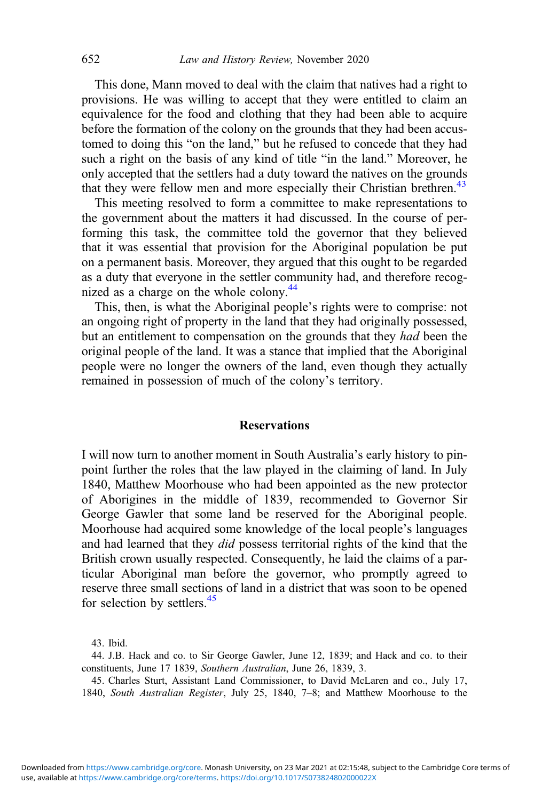This done, Mann moved to deal with the claim that natives had a right to provisions. He was willing to accept that they were entitled to claim an equivalence for the food and clothing that they had been able to acquire before the formation of the colony on the grounds that they had been accustomed to doing this "on the land," but he refused to concede that they had such a right on the basis of any kind of title "in the land." Moreover, he only accepted that the settlers had a duty toward the natives on the grounds that they were fellow men and more especially their Christian brethren.<sup>43</sup>

This meeting resolved to form a committee to make representations to the government about the matters it had discussed. In the course of performing this task, the committee told the governor that they believed that it was essential that provision for the Aboriginal population be put on a permanent basis. Moreover, they argued that this ought to be regarded as a duty that everyone in the settler community had, and therefore recognized as a charge on the whole colony. $44$ 

This, then, is what the Aboriginal people's rights were to comprise: not an ongoing right of property in the land that they had originally possessed, but an entitlement to compensation on the grounds that they had been the original people of the land. It was a stance that implied that the Aboriginal people were no longer the owners of the land, even though they actually remained in possession of much of the colony's territory.

### **Reservations**

I will now turn to another moment in South Australia's early history to pinpoint further the roles that the law played in the claiming of land. In July 1840, Matthew Moorhouse who had been appointed as the new protector of Aborigines in the middle of 1839, recommended to Governor Sir George Gawler that some land be reserved for the Aboriginal people. Moorhouse had acquired some knowledge of the local people's languages and had learned that they did possess territorial rights of the kind that the British crown usually respected. Consequently, he laid the claims of a particular Aboriginal man before the governor, who promptly agreed to reserve three small sections of land in a district that was soon to be opened for selection by settlers.<sup>45</sup>

45. Charles Sturt, Assistant Land Commissioner, to David McLaren and co., July 17, 1840, South Australian Register, July 25, 1840, 7–8; and Matthew Moorhouse to the

<sup>43.</sup> Ibid.

<sup>44.</sup> J.B. Hack and co. to Sir George Gawler, June 12, 1839; and Hack and co. to their constituents, June 17 1839, Southern Australian, June 26, 1839, 3.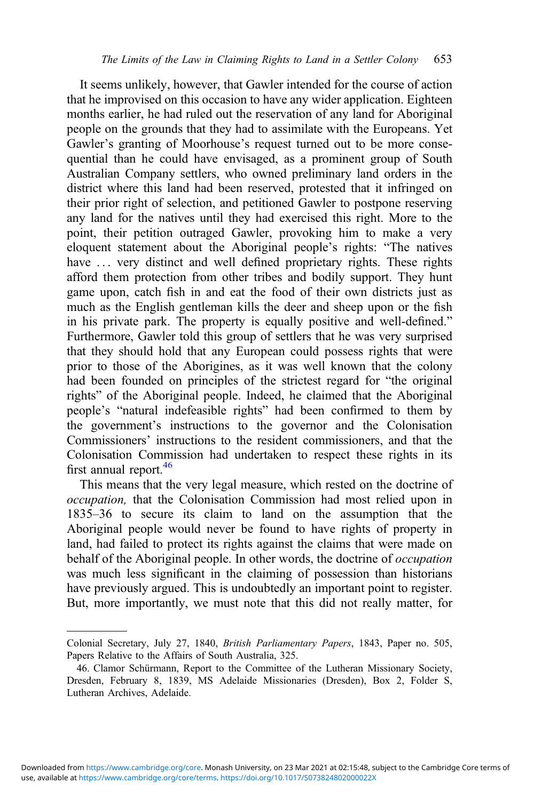It seems unlikely, however, that Gawler intended for the course of action that he improvised on this occasion to have any wider application. Eighteen months earlier, he had ruled out the reservation of any land for Aboriginal people on the grounds that they had to assimilate with the Europeans. Yet Gawler's granting of Moorhouse's request turned out to be more consequential than he could have envisaged, as a prominent group of South Australian Company settlers, who owned preliminary land orders in the district where this land had been reserved, protested that it infringed on their prior right of selection, and petitioned Gawler to postpone reserving any land for the natives until they had exercised this right. More to the point, their petition outraged Gawler, provoking him to make a very eloquent statement about the Aboriginal people's rights: "The natives have ... very distinct and well defined proprietary rights. These rights afford them protection from other tribes and bodily support. They hunt game upon, catch fish in and eat the food of their own districts just as much as the English gentleman kills the deer and sheep upon or the fish in his private park. The property is equally positive and well-defined." Furthermore, Gawler told this group of settlers that he was very surprised that they should hold that any European could possess rights that were prior to those of the Aborigines, as it was well known that the colony had been founded on principles of the strictest regard for "the original rights" of the Aboriginal people. Indeed, he claimed that the Aboriginal people's "natural indefeasible rights" had been confirmed to them by the government's instructions to the governor and the Colonisation Commissioners' instructions to the resident commissioners, and that the Colonisation Commission had undertaken to respect these rights in its first annual report.<sup>46</sup>

This means that the very legal measure, which rested on the doctrine of occupation, that the Colonisation Commission had most relied upon in 1835–36 to secure its claim to land on the assumption that the Aboriginal people would never be found to have rights of property in land, had failed to protect its rights against the claims that were made on behalf of the Aboriginal people. In other words, the doctrine of occupation was much less significant in the claiming of possession than historians have previously argued. This is undoubtedly an important point to register. But, more importantly, we must note that this did not really matter, for

Colonial Secretary, July 27, 1840, British Parliamentary Papers, 1843, Paper no. 505, Papers Relative to the Affairs of South Australia, 325.

<sup>46.</sup> Clamor Schürmann, Report to the Committee of the Lutheran Missionary Society, Dresden, February 8, 1839, MS Adelaide Missionaries (Dresden), Box 2, Folder S, Lutheran Archives, Adelaide.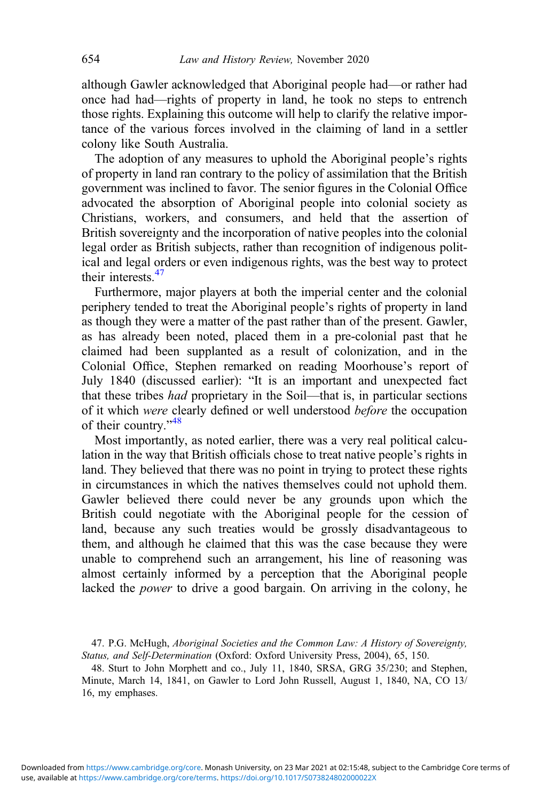although Gawler acknowledged that Aboriginal people had—or rather had once had had—rights of property in land, he took no steps to entrench those rights. Explaining this outcome will help to clarify the relative importance of the various forces involved in the claiming of land in a settler colony like South Australia.

The adoption of any measures to uphold the Aboriginal people's rights of property in land ran contrary to the policy of assimilation that the British government was inclined to favor. The senior figures in the Colonial Office advocated the absorption of Aboriginal people into colonial society as Christians, workers, and consumers, and held that the assertion of British sovereignty and the incorporation of native peoples into the colonial legal order as British subjects, rather than recognition of indigenous political and legal orders or even indigenous rights, was the best way to protect their interests.<sup>47</sup>

Furthermore, major players at both the imperial center and the colonial periphery tended to treat the Aboriginal people's rights of property in land as though they were a matter of the past rather than of the present. Gawler, as has already been noted, placed them in a pre-colonial past that he claimed had been supplanted as a result of colonization, and in the Colonial Office, Stephen remarked on reading Moorhouse's report of July 1840 (discussed earlier): "It is an important and unexpected fact that these tribes had proprietary in the Soil—that is, in particular sections of it which were clearly defined or well understood before the occupation of their country."<sup>48</sup>

Most importantly, as noted earlier, there was a very real political calculation in the way that British officials chose to treat native people's rights in land. They believed that there was no point in trying to protect these rights in circumstances in which the natives themselves could not uphold them. Gawler believed there could never be any grounds upon which the British could negotiate with the Aboriginal people for the cession of land, because any such treaties would be grossly disadvantageous to them, and although he claimed that this was the case because they were unable to comprehend such an arrangement, his line of reasoning was almost certainly informed by a perception that the Aboriginal people lacked the *power* to drive a good bargain. On arriving in the colony, he

47. P.G. McHugh, Aboriginal Societies and the Common Law: A History of Sovereignty, Status, and Self-Determination (Oxford: Oxford University Press, 2004), 65, 150.

48. Sturt to John Morphett and co., July 11, 1840, SRSA, GRG 35/230; and Stephen, Minute, March 14, 1841, on Gawler to Lord John Russell, August 1, 1840, NA, CO 13/ 16, my emphases.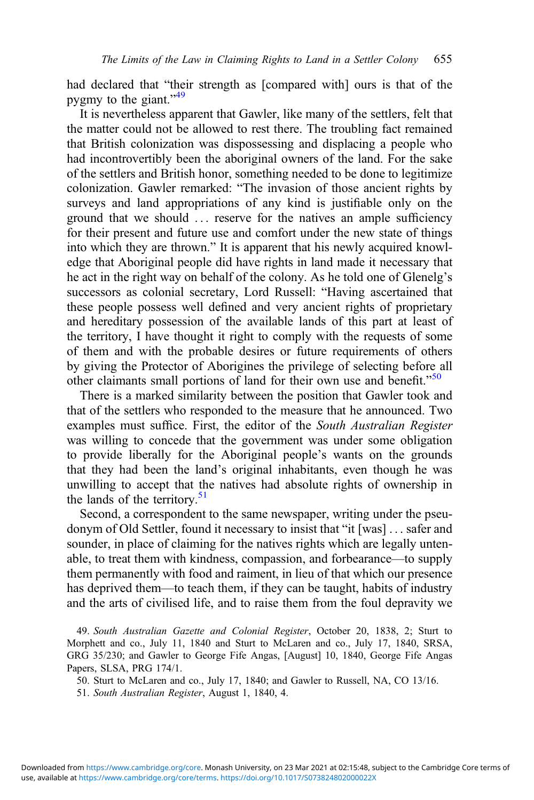had declared that "their strength as [compared with] ours is that of the pygmy to the giant."<sup>49</sup>

It is nevertheless apparent that Gawler, like many of the settlers, felt that the matter could not be allowed to rest there. The troubling fact remained that British colonization was dispossessing and displacing a people who had incontrovertibly been the aboriginal owners of the land. For the sake of the settlers and British honor, something needed to be done to legitimize colonization. Gawler remarked: "The invasion of those ancient rights by surveys and land appropriations of any kind is justifiable only on the ground that we should ... reserve for the natives an ample sufficiency for their present and future use and comfort under the new state of things into which they are thrown." It is apparent that his newly acquired knowledge that Aboriginal people did have rights in land made it necessary that he act in the right way on behalf of the colony. As he told one of Glenelg's successors as colonial secretary, Lord Russell: "Having ascertained that these people possess well defined and very ancient rights of proprietary and hereditary possession of the available lands of this part at least of the territory, I have thought it right to comply with the requests of some of them and with the probable desires or future requirements of others by giving the Protector of Aborigines the privilege of selecting before all other claimants small portions of land for their own use and benefit."<sup>50</sup>

There is a marked similarity between the position that Gawler took and that of the settlers who responded to the measure that he announced. Two examples must suffice. First, the editor of the South Australian Register was willing to concede that the government was under some obligation to provide liberally for the Aboriginal people's wants on the grounds that they had been the land's original inhabitants, even though he was unwilling to accept that the natives had absolute rights of ownership in the lands of the territory. $51$ 

Second, a correspondent to the same newspaper, writing under the pseudonym of Old Settler, found it necessary to insist that "it [was] ... safer and sounder, in place of claiming for the natives rights which are legally untenable, to treat them with kindness, compassion, and forbearance—to supply them permanently with food and raiment, in lieu of that which our presence has deprived them—to teach them, if they can be taught, habits of industry and the arts of civilised life, and to raise them from the foul depravity we

49. South Australian Gazette and Colonial Register, October 20, 1838, 2; Sturt to Morphett and co., July 11, 1840 and Sturt to McLaren and co., July 17, 1840, SRSA, GRG 35/230; and Gawler to George Fife Angas, [August] 10, 1840, George Fife Angas Papers, SLSA, PRG 174/1.

50. Sturt to McLaren and co., July 17, 1840; and Gawler to Russell, NA, CO 13/16.

51. South Australian Register, August 1, 1840, 4.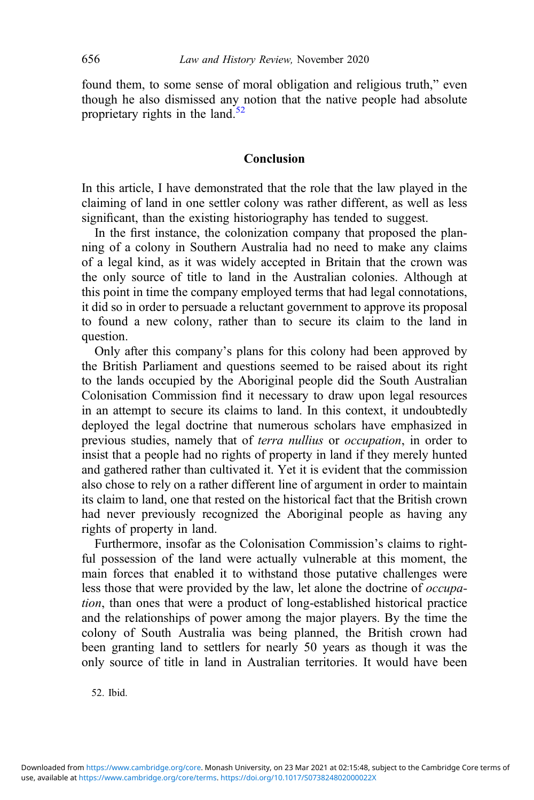found them, to some sense of moral obligation and religious truth," even though he also dismissed any notion that the native people had absolute proprietary rights in the land. $52$ 

#### Conclusion Conclusion

In this article, I have demonstrated that the role that the law played in the claiming of land in one settler colony was rather different, as well as less significant, than the existing historiography has tended to suggest.

In the first instance, the colonization company that proposed the planning of a colony in Southern Australia had no need to make any claims of a legal kind, as it was widely accepted in Britain that the crown was the only source of title to land in the Australian colonies. Although at this point in time the company employed terms that had legal connotations, it did so in order to persuade a reluctant government to approve its proposal to found a new colony, rather than to secure its claim to the land in question.

Only after this company's plans for this colony had been approved by the British Parliament and questions seemed to be raised about its right to the lands occupied by the Aboriginal people did the South Australian Colonisation Commission find it necessary to draw upon legal resources in an attempt to secure its claims to land. In this context, it undoubtedly deployed the legal doctrine that numerous scholars have emphasized in previous studies, namely that of terra nullius or occupation, in order to insist that a people had no rights of property in land if they merely hunted and gathered rather than cultivated it. Yet it is evident that the commission also chose to rely on a rather different line of argument in order to maintain its claim to land, one that rested on the historical fact that the British crown had never previously recognized the Aboriginal people as having any rights of property in land.

Furthermore, insofar as the Colonisation Commission's claims to rightful possession of the land were actually vulnerable at this moment, the main forces that enabled it to withstand those putative challenges were less those that were provided by the law, let alone the doctrine of *occupa*tion, than ones that were a product of long-established historical practice and the relationships of power among the major players. By the time the colony of South Australia was being planned, the British crown had been granting land to settlers for nearly 50 years as though it was the only source of title in land in Australian territories. It would have been

52. Ibid.